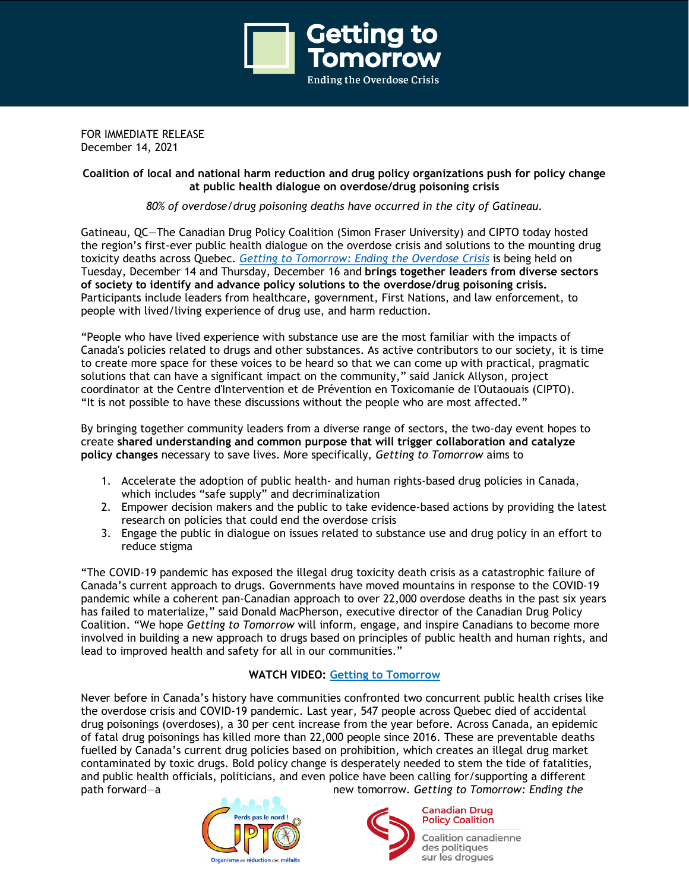

FOR IMMEDIATE RELEASE December 14, 2021

### **Coalition of local and national harm reduction and drug policy organizations push for policy change at public health dialogue on overdose/drug poisoning crisis**

*80% of overdose/drug poisoning deaths have occurred in the city of Gatineau.*

Gatineau, QC—The Canadian Drug Policy Coalition (Simon Fraser University) and CIPTO today hosted the region's first-ever public health dialogue on the overdose crisis and solutions to the mounting drug toxicity deaths across Quebec. *Getting to [Tomorrow:](https://gettingtotomorrow.ca/) Ending the Overdose Crisis* is being held on Tuesday, December 14 and Thursday, December 16 and **brings together leaders from diverse sectors of society to identify and advance policy solutions to the overdose/drug poisoning crisis.** Participants include leaders from healthcare, government, First Nations, and law enforcement, to people with lived/living experience of drug use, and harm reduction.

"People who have lived experience with substance use are the most familiar with the impacts of Canada's policies related to drugs and other substances. As active contributors to our society, it is time to create more space for these voices to be heard so that we can come up with practical, pragmatic solutions that can have a significant impact on the community," said Janick Allyson, project coordinator at the Centre d'Intervention et de Prévention en Toxicomanie de l'Outaouais (CIPTO). "It is not possible to have these discussions without the people who are most affected."

By bringing together community leaders from a diverse range of sectors, the two-day event hopes to create **shared understanding and common purpose that will trigger collaboration and catalyze policy changes** necessary to save lives. More specifically, *Getting to Tomorrow* aims to

- 1. Accelerate the adoption of public health- and human rights-based drug policies in Canada, which includes "safe supply" and decriminalization
- 2. Empower decision makers and the public to take evidence-based actions by providing the latest research on policies that could end the overdose crisis
- 3. Engage the public in dialogue on issues related to substance use and drug policy in an effort to reduce stigma

"The COVID-19 pandemic has exposed the illegal drug toxicity death crisis as a catastrophic failure of Canada's current approach to drugs. Governments have moved mountains in response to the COVID-19 pandemic while a coherent pan-Canadian approach to over 22,000 overdose deaths in the past six years has failed to materialize," said Donald MacPherson, executive director of the Canadian Drug Policy Coalition. "We hope *Getting to Tomorrow* will inform, engage, and inspire Canadians to become more involved in building a new approach to drugs based on principles of public health and human rights, and lead to improved health and safety for all in our communities."

# **WATCH VIDEO: Getting to [Tomorrow](https://gettingtotomorrow.ca/2021/04/13/getting-to-tomorrow-ending-the-overdose-crisis/)**

Never before in Canada's history have communities confronted two concurrent public health crises like the overdose crisis and COVID-19 pandemic. Last year, 547 people across Quebec died of accidental drug poisonings (overdoses), a 30 per cent increase from the year before. Across Canada, an epidemic of fatal drug poisonings has killed more than 22,000 people since 2016. These are preventable deaths fuelled by Canada's current drug policies based on prohibition, which creates an illegal drug market contaminated by toxic drugs. Bold policy change is desperately needed to stem the tide of fatalities, and public health officials, politicians, and even police have been calling for/supporting a different path forward—a new tomorrow. *Getting to Tomorrow: Ending the*





**Policy Coalition Coalition canadienne** 

des politiques sur les droques